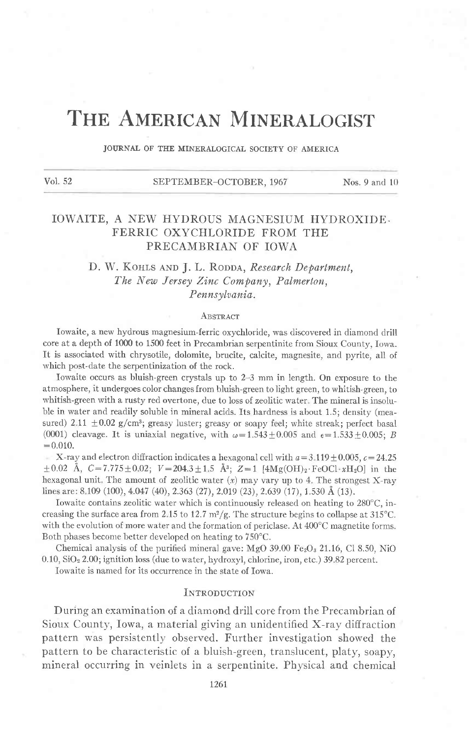# THE AMERICAN MINERALOGIST

JOURNAI OF THE MINERALOGICAL SOCIETY OF AMERICA

| Vol. 52 | SEPTEMBER-OCTOBER, 1967 | Nos. $9$ and $10$ |
|---------|-------------------------|-------------------|
|         |                         |                   |

# IOWAITE, A NEW HYDROUS MAGNESIUM HYDROXIDE. FERRIC OXYCHLORIDE FROM THE PRECAMBRIAN OF IOWA

# D. W. KOHLS AND J. L. RODDA, Research Department, The New Jersey Zinc Company, Palmerton, Pennsylvania.

#### **ABSTRACT**

Iowaite, a new hydrous magnesium-ferric oxychloride, was discovered in diamond drill core at a depth of 1000 to 1500 feet in Precambrian serpentinite from Sioux County, Iorva. It is associated with chrysotile, dolomite, brucite, calcite, magnesite, and pyrite, all of which post-date the serpentinization of the rock.

Iowaite occurs as bluish-green crystals up to 2-3 mm in length. On exposure to the atmosphere, it undergoes color changes from bluish-green to light green, to whitish-green, to whitish-green with a rusty red overtone, due to loss of zeolitic water. The mineral is insoluble in water and readily soluble in mineral acids. Its hardness is about 1.5; density (measured) 2.11  $\pm$ 0.02 g/cm<sup>3</sup>; greasy luster; greasy or soapy feel; white streak; perfect basal (0001) cleavage. It is uniaxial negative, with  $\omega=1.543\pm0.005$  and  $\epsilon=1.533\pm0.005$ ; B  $=0.010.$ 

X-ray and electron diffraction indicates a hexagonal cell with  $a=3.119\pm0.005$ ,  $c=24.25$  $\pm 0.02$  Å,  $C=7.775\pm0.02$ ;  $V=204.3\pm1.5$  Å<sup>3</sup>;  $Z=1$  [4Mg(OH)<sub>2</sub>.FeOCl xH<sub>2</sub>O] in the hexagonal unit. The amount of zeolitic water  $(x)$  may vary up to 4. The strongest X-ray lines are: 8.109 (100), 4.047 (40), 2.363 (27), 2.019 (23), 2.639 (17), 1.530 Å (13).

Iowaite contains zeolitic water which is continuously released on heating to  $280^{\circ}$ C, increasing the surface area from 2.15 to 12.7 m<sup>2</sup>/g. The structure begins to collapse at 315°C. with the evolution of more water and the formation of periclase. At 400'C magnetite forms. Both phases become better developed on heating to 750'C.

Chemical analysis of the purified mineral gave: MgO 39.00  $Fe<sub>2</sub>O<sub>8</sub>$  21.16, Cl 8.50, NiO 0.10, SiO<sub>2</sub> 2.00; ignition loss (due to water, hydroxyl, chlorine, iron, etc.) 39.82 percent.

Iowaite is named for its occurrence in the state of Iowa.

## INTRODUCTION

During an examination of a diamond drill core from the Precambrian of Sioux County, Iowa, a material giving an unidentified X-ray diffraction pattern was persistently observed. Further investigation showed the pattern to be characteristic of a bluish-green, transiucent, platy, soapy, mineral occurring in veinlets in a serpentinite. Physical and chemical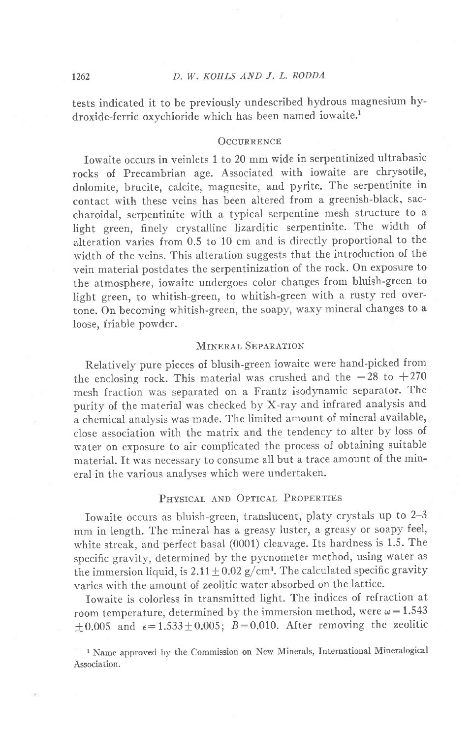tests indicated it to be previously undescribed hydrous magnesium hydroxide-ferric oxychloride which has been named iowaite.<sup>1</sup>

## OCCURRENCE

Iowaite occurs in veinlets I to 20 mm wide in serpentinized ultrabasic rocks of Precambrian age. Associated with iowaite are chrysotile, dolomite, brucite, calcite, magnesite, and pyrite. The serpentinite in contact with these veins has been altered from a greenish-black, saccharoidal, serpentinite with a typical serpentine mesh structure to a light green, finely crystalline lizarditic serpentinite. The width of alteration varies from 0.5 to 10 cm and is directly proportional to the width of the veins. This alteration suggests that the introduction of the vein material postdates the serpentinization of the rock. On exposure to the atmosphere, iowaite undergoes color changes from bluish-green to Iight green, to whitish-green, to whitish-green with a rusty red overtone. On becoming whitish-green, the soapy, waxy mineral changes to a loose, friable powder.

# MINERAL SEPARATION

Relativeiy pure pieces of blusih-green iowaite were hand-picked from the enclosing rock. This material was crushed and the  $-28$  to  $+270$ mesh fraction was separated on a Frantz isodynamic separator. The purity of the material was checked by X-ray and infrared analysis and a chemical analysis was made. The limited amount of mineral available, close association with the matrix and the tendency to alter by loss of water on exposure to air complicated the process of obtaining suitable material. It was necessary to consume all but a trace amount of the mineral in the various analvses which were undertaken.

# PHYSICAL AND OPTICAL PROPERTIES

Iowaite occurs as bluish-green, translucent, platy crystals up to 2-3 mm in length. The mineral has a greasy luster, a greasy or soapy feel, white streak, and perfect basal (0001) cleavage. Its hardness is 1.5. The specific gravity, determined by the pycnometer method, using water as the immersion liquid, is  $2.11 \pm 0.02$  g/cm<sup>3</sup>. The calculated specific gravity varies with the amount of zeolitic water absorbed on the lattice.

Iowaite is colorless in transmitted light. The indices of refraction at room temperature, determined by the immersion method, were  $\omega = 1.543$ +0.005 and  $\epsilon$ =1.533+0.005; B=0.010. After removing the zeolitic

1 Name approved by the Commission on New Minerals, International Mineralogical Association.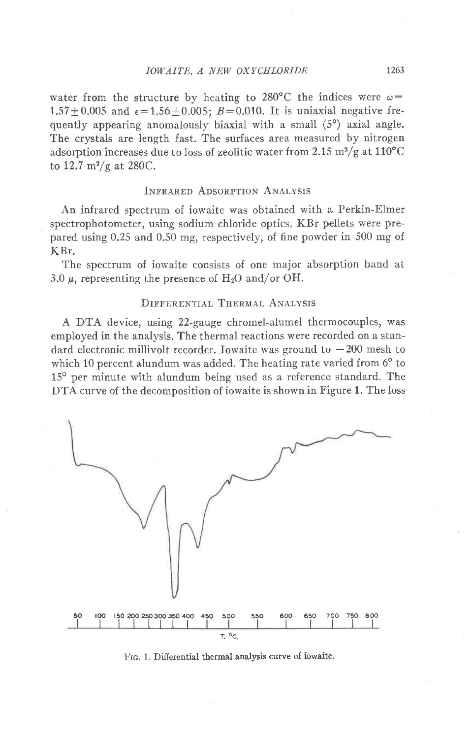water from the structure by heating to 280°C the indices were  $\omega$ =  $1.57 \pm 0.005$  and  $\epsilon = 1.56 \pm 0.005$ ;  $B = 0.010$ . It is uniaxial negative frequently appearing anomalously biaxial with a small  $(5^{\circ})$  axial angle. The crystals are length fast. The surfaces area measured by nitrogen adsorption increases due to loss of zeolitic water from 2.15  $\mathrm{m}^2/\mathrm{g}$  at 110°C to 12.7  $\rm m^2/g$  at 280C.

# INFRARED ADSORPTION ANALYSIS

An infrared spectrum of iowaite was obtained with a Perkin-Elmer spectrophotometer, using sodium chloride optics. KBr pellets were prepared using 0.25 and 0.50 mg, respectively, of fine powder in 500 mg of KBr.

The spectrum of iowaite consists of one major absorption band at 3.0  $\mu$ , representing the presence of H<sub>2</sub>O and/or OH.

# DIFFERENTIAL THERMAL ANALYSIS

A DTA device, using 22-gauge chromel-alumel thermocouples, was employed in the analysis. The thermal reactions were recorded on a standard electronic millivolt recorder. Iowaite was ground to  $-200$  mesh to which 10 percent alundum was added. The heating rate varied from 6° to 15° per minute with alundum being used as a reference standard. The DTA curve of the decomposition of iowaite is shown in Figure 1. The loss



FIG. 1. Differential thermal analysis curve of iowaite.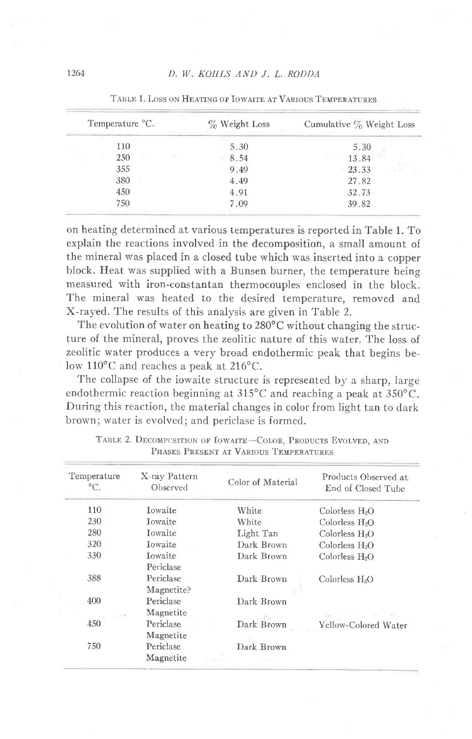| Temperature °C. | $\%$ Weight Loss | Cumulative $\%$ Weight Loss |
|-----------------|------------------|-----------------------------|
| 110             | 5.30             | 5.30                        |
| 250             | 8.54             | 13.84                       |
| 355             | 9.49             | vZ<br>23.33                 |
| 380             | 4.49             | 27.82                       |
| 450             | 4.91             | 32.73                       |
| 750             | 7.09             | 39.82                       |

TABLE 1. LOSS ON HEATING OF IOWAITE AT VARIOUS TEMPERATURES

on heating determined at various temperatures is reported in Table 1. To explain the reactions involved in the decomposition, a small amount of the mineral was placed in a closed tube which was inserted into a copper block. Heat was supplied with a Bunsen burner, the temperature being measured with iron-constantan thermocouples enclosed in the block. The mineral was heated to the desired temperature, removed and X-rayed. The results of this analysis are given in Table 2.

The evolution of water on heating to 280°C without changing the structure of the mineral, proves the zeolitic nature of this water. The loss of zeolitic water produces a very broad endothermic peak that begins below 110°C and reaches a peak at 216°C.

The collapse of the iowaite structure is represented by a sharp, large endothermic reaction beginning at  $315^{\circ}$ C and reaching a peak at  $350^{\circ}$ C. During this reaction, the material changes in color from light tan to dark brown; water is evolved; and periclase is formed.

| Temperature<br>$^{\circ}C.$                     | X-ray Pattern<br>Observed            | Color of Material    | Products Observed at<br>End of Closed Tube |
|-------------------------------------------------|--------------------------------------|----------------------|--------------------------------------------|
| 110                                             | Iowaite                              | White                | Colorless $H_2O$                           |
| 230                                             | Towaite                              | White                | Colorless $H_2O$                           |
| 280                                             | <b>I</b> owaite                      | Light Tan            | Colorless $H2O$                            |
| 320                                             | <b>Towaite</b>                       | Dark Brown           | Colorless $H2O$                            |
| 330                                             | Iowaite                              | Dark Brown           | Colorless H <sub>2</sub> O                 |
| 388                                             | Periclase<br>Periclase<br>Magnetite? | Dark Brown           | Colorless $H_2O$                           |
| 400                                             | Periclase<br>Magnetite               | Dark Brown           |                                            |
| $\mathcal{C}_{\mathcal{C}} = \{ \Psi \}$<br>450 | Periclase                            | $-2 -$<br>Dark Brown | Yellow-Colored Water                       |
| 750                                             | Magnetite<br>Periclase               | Dark Brown           |                                            |
|                                                 | Magnetite                            |                      |                                            |

TABLE 2. DECOMPOSITION OF IOWAITE-COLOR, PRODUCTS EVOLVED, AND PHASES PRESENT AT VARIOUS TEMPERATURES

1264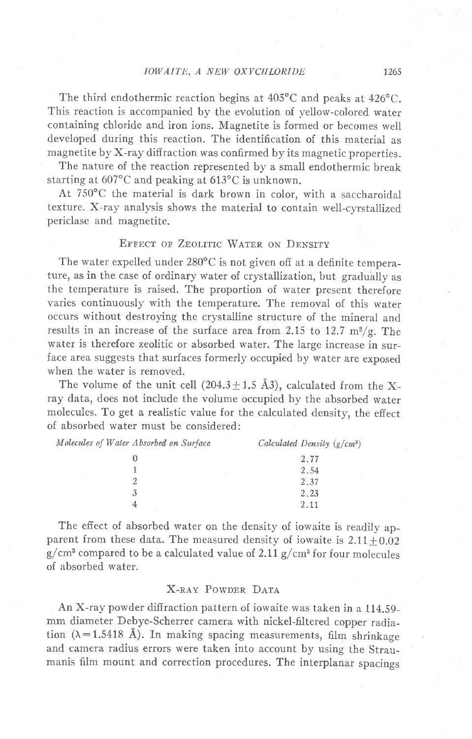## IOWAITE, A NEW OXYCHLORIDE 1265

The third endothermic reaction begins at  $405^{\circ}$ C and peaks at  $426^{\circ}$ C. This reaction is accompanied by the evolution of yellow-colored water containing chloride and iron ions. Magnetite is formed or becomes well developed during this reaction. The identification of this material as magnetite by X-ray diffraction was confirmed by its magnetic properties.

The nature of the reaction represented by a small endothermic break starting at  $607^{\circ}$ C and peaking at  $613^{\circ}$ C is unknown.

At 750'C the material is dark brown in color, with a saccharoidal texture. X-ray analysis shows the material to contain well-cyrstallized periclase and magnetite.

# EFFECT OF ZEOLITIC WATER ON DENSITY

The water expelled under  $280^{\circ}$ C is not given off at a definite temperature, as in the case of ordinary water of crystallization, but gradually as the temperature is raised. The proportion of water present therefore varies continuously with the temperature. The removal of this water occurs without destroying the crystalline structure of the mineral and results in an increase of the surface area from 2.15 to 12.7  $m^2/g$ . The water is therefore zeolitic or absorbed water. The large increase in surface area suggests that surfaces formerly occupied by water are exposed when the water is removed.

The volume of the unit cell  $(204.3 \pm 1.5 \text{ Å}3)$ , calculated from the Xray data, does not include the volume occupied by the absorbed water molecules. To get a realistic value for the calculated density, the effect of absorbed water must be considered:

| Molecules of Water Absorbed on Surface | Calculated Density $(g/cm^3)$ |
|----------------------------------------|-------------------------------|
|                                        | 2.77                          |
|                                        | 2.54                          |
|                                        | 2.37                          |
|                                        | 2.23                          |
| 4                                      |                               |

The effect of absorbed water on the density of iowaite is readily apparent from these data. The measured density of iowaite is  $2.11 \pm 0.02$  $g/cm<sup>3</sup>$  compared to be a calculated value of 2.11  $g/cm<sup>3</sup>$  for four molecules of absorbed water.

# X-RAY POWDER DATA

An X-ray powder diffraction pattern of iowaite was taken in a 114.59 mm diameter Debye-Scherrer camera with nickel-filtered copper radiation ( $\lambda = 1.5418$  Å). In making spacing measurements, film shrinkage and camera radius errors were taken into account by using the Straumanis film mount and correction procedures. The interplanar spacings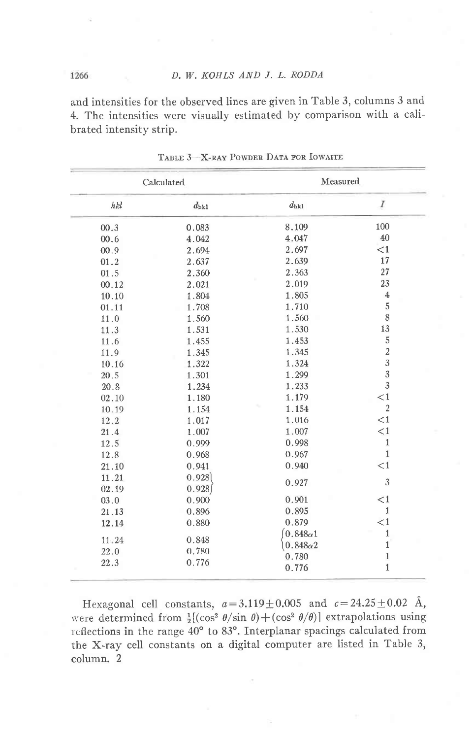and intensities for the observed lines are given in Table 3, columns 3 and 4. The intensities were visually estimated by comparison with a calibrated intensity strip.

| Calculated |               | Measured                                 |                 |  |
|------------|---------------|------------------------------------------|-----------------|--|
| hkl        | $d_{\rm hk1}$ | $d_{\rm hk1}$                            | $\cal I$<br>100 |  |
| 00.3       | 0.083         | 8.109                                    |                 |  |
| 00.6       | 4.042         | 40<br>4.047                              |                 |  |
| 00.9       | 2.694         | <1<br>2.697                              |                 |  |
| 01.2       | 2.637         | 2.639                                    | 17              |  |
| 01.5       | 2.360         | 2.363                                    | 27              |  |
| 00.12      | 2.021         | 2.019                                    | 23              |  |
| 10.10      | 1.804         | 1.805                                    | $\overline{4}$  |  |
| 01.11      | 1.708         | 1.710                                    | 5               |  |
| 11.0       | 1.560         | 1.560                                    | 8               |  |
| 11.3       | 1.531         | 1.530                                    | 13              |  |
| 11.6       | 1.455         | 1.453                                    | 5               |  |
| 11.9       | 1.345         | $\overline{\mathbf{c}}$<br>1.345         |                 |  |
| 10.16      | 1.322         | 3<br>1.324                               |                 |  |
| 20.5       | 1.301         | 1.299                                    |                 |  |
| 20.8       | 1.234         | 1.233                                    |                 |  |
| 02.10      | 1.180         | $\overline{3}$<br>$\leq$ 1<br>1.179      |                 |  |
| 10.19      | 1.154         | $\overline{2}$<br>1.154                  |                 |  |
| 12.2       | 1.017         | $<\!1$<br>1.016                          |                 |  |
| 21.4       | 1.007         | $\leq$ 1<br>1.007                        |                 |  |
| 12.5       | 0.999         | $\mathbf 1$<br>0.998                     |                 |  |
| 12.8       | 0.968         | $\mathbf{1}$<br>0.967                    |                 |  |
| 21.10      | 0.941         | $\leq$ 1<br>0.940                        |                 |  |
| 11.21      | 0.928         |                                          |                 |  |
| 02.19      | 0.928         | 0.927                                    | $\mathfrak{Z}$  |  |
| 03.0       | 0.900         | 0.901                                    | $<$ 1           |  |
| 21.13      | 0.896         | 0.895                                    | $\mathbf{1}$    |  |
| 12.14      | 0.880         | 0.879                                    | <1              |  |
|            |               | $0.848\alpha1$                           | $1\,$           |  |
| 11.24      | 0.848         |                                          | $\mathbf 1$     |  |
| 22.0       | 0.780         | $0.848\alpha2$<br>$\mathbbm{1}$<br>0.780 |                 |  |
| 22.3       | 0.776         | 0.776                                    | $\mathbf{1}$    |  |

TABLE 3-X-RAY POWDER DATA FOR IOWAITE

Hexagonal cell constants,  $a = 3.119 \pm 0.005$  and  $c = 24.25 \pm 0.02$  Å, were determined from  $\frac{1}{2}[(\cos^2 \theta / \sin \theta) + (\cos^2 \theta / \theta)]$  extrapolations using reflections in the range 40° to 83°. Interplanar spacings calculated from the X-ray cell constants on a digital computer are listed in Table 3, column. 2

1266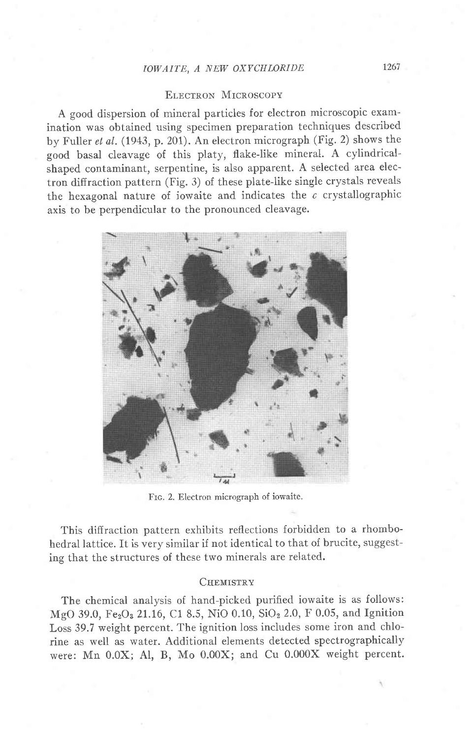# IOWAITE, A NEW OXYCHLORIDE 1267

## ELECTRON MICROSCOPY

A good dispersion of mineral particles for electron microscopic examination was obtained using specimen preparation techniques described by Fuller et al. (1943, p. 201). An electron micrograph (Fig. 2) shows the good basal cleavage of this platy, flake-like mineral. A cylindricalshaped contaminant, serpentine, is also apparent. A selected area electron diffraction pattern (Fig. 3) of these plate-like single crystals reveals the hexagonal nature of iowaite and indicates the  $c$  crystallographic axis to be perpendicular to the pronounced cleavage.



Frc. 2. Electron micrograph of iowaite.

This diffraction pattern exhibits reflections forbidden to a rhombohedral lattice. It is very similar if not identical to that of brucite, suggesting that the structures of these two minerals are related.

## CHEMISTRY

The chemical analysis of hand-picked purified iowaite is as follows: MgO 39.0, Fe<sub>2</sub>O<sub>3</sub> 21.16, C1 8.5, NiO 0.10, SiO<sub>2</sub> 2.0, F 0.05, and Ignition Loss 39.7 weight percent. The ignition loss includes some iron and chlorine as well as water. Additional elements detected spectrographically were: Mn 0.0X; AI, B, Mo 0.00X; and Cu 0.000X weight percent.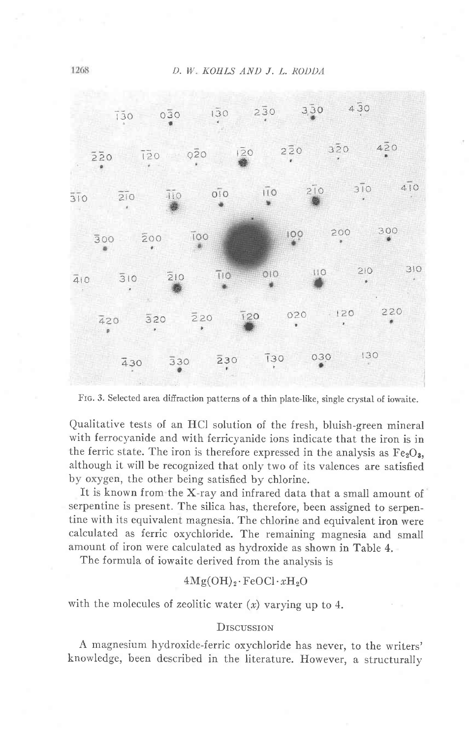

FIG. 3. Selected area diffraction patterns of a thin plate-like, single crystal of iowaite.

Qualitative tests of an HCl solution of the fresh, bluish-green mineral with ferrocyanide and with ferricyanide ions indicate that the iron is in the ferric state. The iron is therefore expressed in the analysis as  $Fe<sub>2</sub>O<sub>a</sub>$ , although it will be recognized that only two of its valences are satisfied by oxygen, the other being satisfied by chlorine.

It is known from the X-ray and infrared data that a small amount of serpentine is present. The silica has, therefore, been assigned to serpentine with its equivalent magnesia. The chlorine and equivalent iron were calculated as ferric oxychloride. The remaining magnesia and small amount of iron were calculated as hydroxide as shown in Table 4.

The formula of iowaite derived from the analysis is

## $4Mg(OH)_2 \cdot FeOCl \cdot xH_2O$

with the molecules of zeolitic water  $(x)$  varying up to 4.

#### **DISCUSSION**

A magnesium hydroxide-ferric oxychloride has never, to the writers' knowledge, been described in the literature. However, a structurally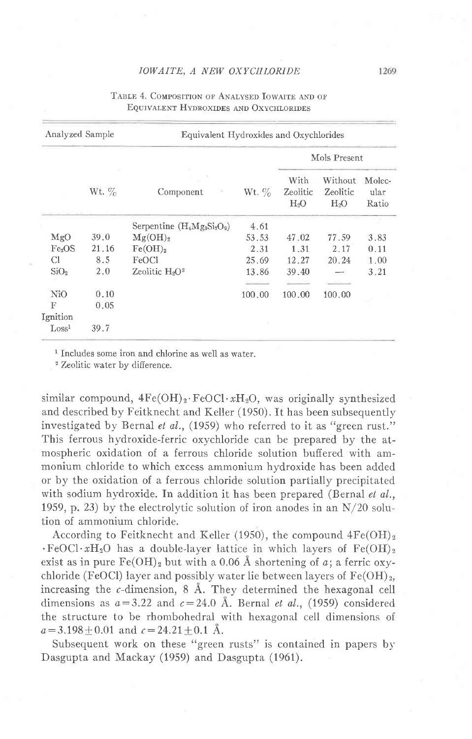#### IOWAITE, A NEW OXYCHLORIDE

| Analyzed Sample    |          | Equivalent Hydroxides and Oxychlorides |          |                            |                               |                         |
|--------------------|----------|----------------------------------------|----------|----------------------------|-------------------------------|-------------------------|
|                    |          |                                        |          |                            | Mols Present                  |                         |
|                    | Wt. $\%$ | Component                              | Wt. $\%$ | With<br>Zeolitic<br>$H_2O$ | Without<br>Zeolitic<br>$H_2O$ | Molec-<br>ular<br>Ratio |
|                    |          | Serpentine $(H_4Mg_3Si_2O_9)$          | 4.61     |                            |                               |                         |
| MgO                | 39.0     | Mg(OH) <sub>2</sub>                    | 53.53    | 47.02                      | 77.59                         | 3.83                    |
| Fe <sub>2</sub> OS | 21.16    | Fe(OH) <sub>2</sub>                    | 2.31     | 1.31                       | 2.17                          | 0.11                    |
| Сl                 | 8.5      | FeOCl                                  | 25.69    | 12.27                      | 20.24                         | 1.00                    |
| SiO <sub>2</sub>   | 2,0      | Zeolitic $H_2O^2$                      | 13.86    | 39.40                      |                               | 3.21                    |
| NiO                | 0.10     |                                        | 100.00   | 100.00                     | 100.00                        |                         |
| F                  | 0.05     |                                        |          |                            |                               |                         |
| Ignition           |          |                                        |          |                            |                               |                         |
| Loss <sup>1</sup>  | 39.7     |                                        |          |                            |                               |                         |

## TABLE 4. COMPOSITION OF ANALYSED IOWAITE AND OF EQUIVALENT HYDROXIDES AND OXYCHLORIDES

<sup>1</sup> Includes some iron and chlorine as well as water.

<sup>2</sup> Zeolitic water by difference.

similar compound,  $4Fe(OH)_2 \cdot FeOCl \cdot xH_2O$ , was originally synthesized and described by Feitknecht and Keller (1950). It has been subsequently investigated by Bernal et al., (1959) who referred to it as "green rust." This ferrous hydroxide-ferric oxychloride can be prepared by the atmospheric oxidation of a ferrous chloride solution buffered with ammonium chloride to which excess ammonium hydroxide has been added or by the oxidation of a ferrous chloride solution partially precipitated with sodium hydroxide. In addition it has been prepared (Bernal et al., 1959, p. 23) by the electrolytic solution of iron anodes in an  $N/20$  solution of ammonium chloride.

According to Feitknecht and Keller (1950), the compound  $4Fe(OH)_2$  $\cdot$ FeOCl $\cdot xH_2O$  has a double-layer lattice in which layers of Fe(OH)<sub>2</sub> exist as in pure  $Fe(OH)<sub>2</sub>$  but with a 0.06 Å shortening of a; a ferric oxychloride (FeOCl) layer and possibly water lie between layers of  $Fe(OH)_2$ , increasing the  $c$ -dimension,  $8$  Å. They determined the hexagonal cell dimensions as  $a=3.22$  and  $c=24.0$  Å. Bernal *et al.*, (1959) considered the structure to be rhombohedral with hexagonal cell dimensions of  $a = 3.198 + 0.01$  and  $c = 24.21 + 0.1$  Å.

Subsequent work on these "green rusts" is contained in papers by Dasgupta and Mackay (1959) and Dasgupta (1961).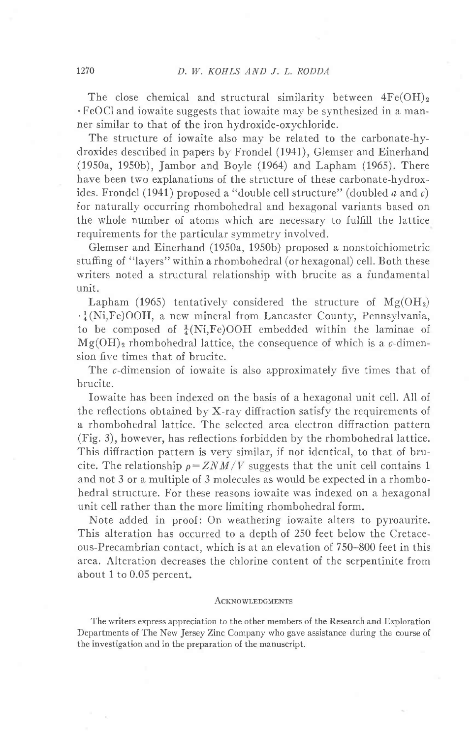The close chemical and structural similarity between  $4Fe(OH)<sub>2</sub>$ .FeOCl and iowaite suggests that iowaite may be synthesized in a manner similar to that of the iron hvdroxide-oxychloride.

The structure of iowaite also may be related to the carbonate-hydroxides described in papers by Frondel (I94I), Glemser and Einerhand (1950a, 1950b), Jambor and Boyle (1964) and Lapham (1965). There have been two explanations of the structure of these carbonate-hydroxides. Frondel (1941) proposed a "double cell structure" (doubled  $a$  and  $c$ ) for naturally occurring rhombohedral and hexagonal variants based on the whole number of atoms which are necessary to fulfill the lattice requirements for the particular symmetry involved.

Glemser and Einerhand (1950a, 1950b) proposed a nonstoichiometric stuffing of "layers" within a rhombohedral (or hexagonal) cell. Both these writers noted a structural relationship with brucite as a fundamental unit.

Lapham (1965) tentatively considered the structure of  $Mg(OH_2)$  $\cdot\frac{1}{4}$ (Ni,Fe)OOH, a new mineral from Lancaster County, Pennsylvania, to be composed of  $\frac{1}{4}$ (Ni,Fe)OOH embedded within the laminae of  $Mg(OH)$ <sub>2</sub> rhombohedral lattice, the consequence of which is a c-dimension five times that of brucite.

The c-dimension of iowaite is also approximately five times that of brucite.

Iowaite has been indexed on the basis of a hexagonal unit cell. All of the reflections obtained by X-ray diffraction satisfy the requirements of a rhombohedral lattice. The selected area electron diffraction pattern (Fig. 3), however, has reflections forbidden by the rhombohedral lattice. This diffraction pattern is very similar, if not identical, to that of brucite. The relationship  $\rho = ZNM/V$  suggests that the unit cell contains 1 and not 3 or a multiple of 3 molecules as would be expected in a rhombohedral structure. For these reasons iowaite was indexed on a hexagonal unit cell rather than the more limiting rhombohedral form.

Note added in proof: On weathering iowaite alters to pyroaurite. This alteration has occurred to a depth of 250 feet below the Cretaceous-Precambrian contact, which is at an elevation of 750-800 feet in this area. Alteration decreases the chlorine content of the seroentinite from about 1 to 0.05 percent.

#### ACKNOWLEDGMENTS

The writers express appreciation to the other members of the Research and Exploration Departments of The New Jersey Zinc Company who gave assistance during the course of the investigation and in the preparation of the manuscript.